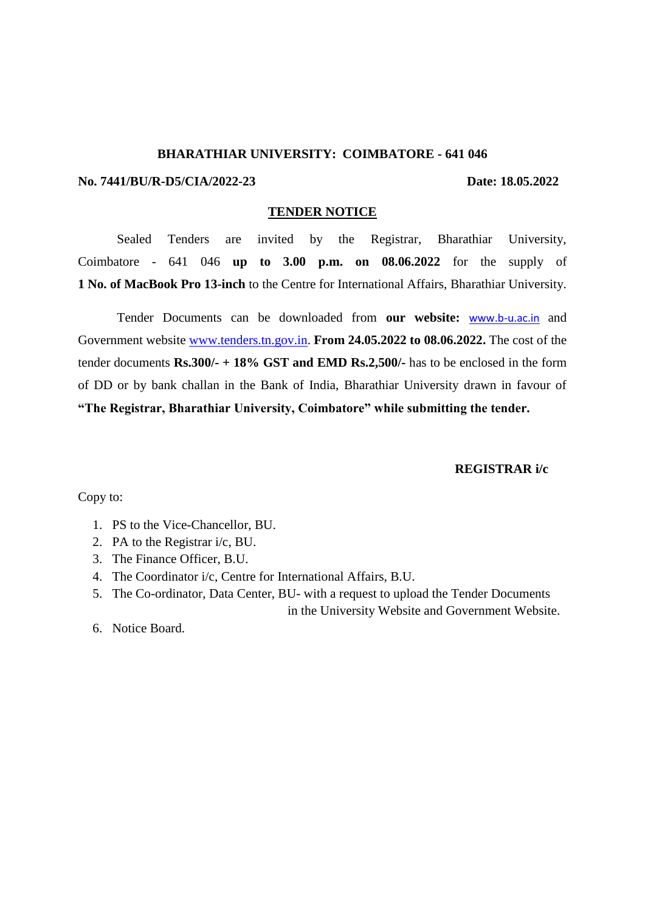#### **BHARATHIAR UNIVERSITY: COIMBATORE - 641 046**

#### **No. 7441/BU/R-D5/CIA/2022-23 Date: 18.05.2022**

#### **TENDER NOTICE**

Sealed Tenders are invited by the Registrar, Bharathiar University, Coimbatore - 641 046 **up to 3.00 p.m. on 08.06.2022** for the supply of **1 No. of MacBook Pro 13-inch** to the Centre for International Affairs, Bharathiar University.

Tender Documents can be downloaded from **our website:** [www.b-u.ac.in](http://www.b-u.ac.in/) and Government website [www.tenders.tn.gov.in.](http://www.tenders.tn.gov.in/) **From 24.05.2022 to 08.06.2022.** The cost of the tender documents **Rs.300/- + 18% GST and EMD Rs.2,500/-** has to be enclosed in the form of DD or by bank challan in the Bank of India, Bharathiar University drawn in favour of **"The Registrar, Bharathiar University, Coimbatore" while submitting the tender.**

### **REGISTRAR i/c**

Copy to:

- 1. PS to the Vice-Chancellor, BU.
- 2. PA to the Registrar i/c, BU.
- 3. The Finance Officer, B.U.
- 4. The Coordinator i/c, Centre for International Affairs, B.U.
- 5. The Co-ordinator, Data Center, BU- with a request to upload the Tender Documents in the University Website and Government Website.
- 6. Notice Board.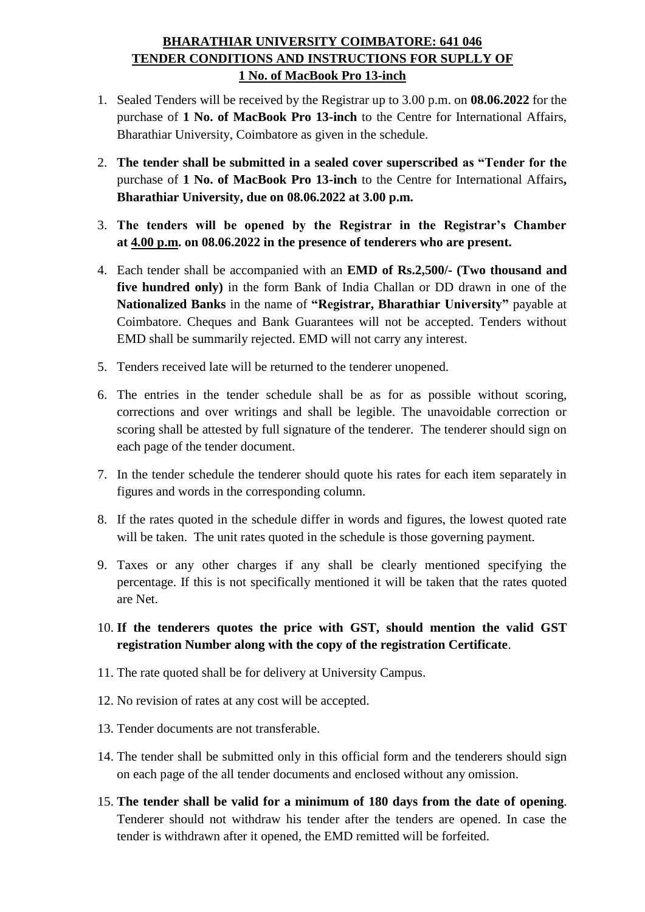# **BHARATHIAR UNIVERSITY COIMBATORE: 641 046 TENDER CONDITIONS AND INSTRUCTIONS FOR SUPLLY OF 1 No. of MacBook Pro 13-inch**

- 1. Sealed Tenders will be received by the Registrar up to 3.00 p.m. on **08.06.2022** for the purchase of **1 No. of MacBook Pro 13-inch** to the Centre for International Affairs, Bharathiar University, Coimbatore as given in the schedule.
- 2. **The tender shall be submitted in a sealed cover superscribed as "Tender for the**  purchase of **1 No. of MacBook Pro 13-inch** to the Centre for International Affairs**, Bharathiar University, due on 08.06.2022 at 3.00 p.m.**
- 3. **The tenders will be opened by the Registrar in the Registrar's Chamber at 4.00 p.m. on 08.06.2022 in the presence of tenderers who are present.**
- 4. Each tender shall be accompanied with an **EMD of Rs.2,500/- (Two thousand and five hundred only)** in the form Bank of India Challan or DD drawn in one of the **Nationalized Banks** in the name of **"Registrar, Bharathiar University"** payable at Coimbatore. Cheques and Bank Guarantees will not be accepted. Tenders without EMD shall be summarily rejected. EMD will not carry any interest.
- 5. Tenders received late will be returned to the tenderer unopened.
- 6. The entries in the tender schedule shall be as for as possible without scoring, corrections and over writings and shall be legible. The unavoidable correction or scoring shall be attested by full signature of the tenderer. The tenderer should sign on each page of the tender document.
- 7. In the tender schedule the tenderer should quote his rates for each item separately in figures and words in the corresponding column.
- 8. If the rates quoted in the schedule differ in words and figures, the lowest quoted rate will be taken. The unit rates quoted in the schedule is those governing payment.
- 9. Taxes or any other charges if any shall be clearly mentioned specifying the percentage. If this is not specifically mentioned it will be taken that the rates quoted are Net.
- 10. **If the tenderers quotes the price with GST, should mention the valid GST registration Number along with the copy of the registration Certificate**.
- 11. The rate quoted shall be for delivery at University Campus.
- 12. No revision of rates at any cost will be accepted.
- 13. Tender documents are not transferable.
- 14. The tender shall be submitted only in this official form and the tenderers should sign on each page of the all tender documents and enclosed without any omission.
- 15. **The tender shall be valid for a minimum of 180 days from the date of opening**. Tenderer should not withdraw his tender after the tenders are opened. In case the tender is withdrawn after it opened, the EMD remitted will be forfeited.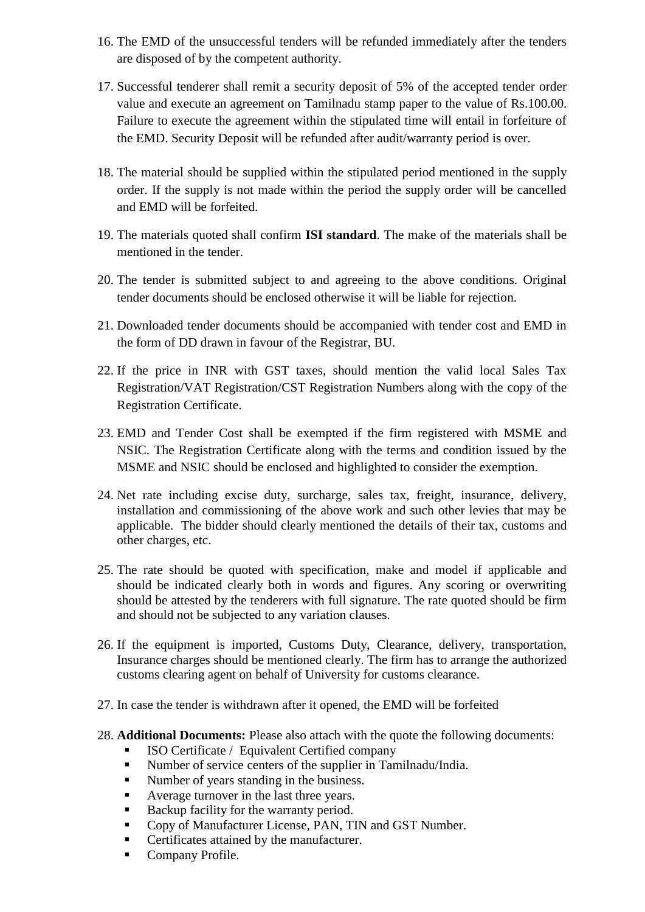- 16. The EMD of the unsuccessful tenders will be refunded immediately after the tenders are disposed of by the competent authority.
- 17. Successful tenderer shall remit a security deposit of 5% of the accepted tender order value and execute an agreement on Tamilnadu stamp paper to the value of Rs.100.00. Failure to execute the agreement within the stipulated time will entail in forfeiture of the EMD. Security Deposit will be refunded after audit/warranty period is over.
- 18. The material should be supplied within the stipulated period mentioned in the supply order. If the supply is not made within the period the supply order will be cancelled and EMD will be forfeited.
- 19. The materials quoted shall confirm **ISI standard**. The make of the materials shall be mentioned in the tender.
- 20. The tender is submitted subject to and agreeing to the above conditions. Original tender documents should be enclosed otherwise it will be liable for rejection.
- 21. Downloaded tender documents should be accompanied with tender cost and EMD in the form of DD drawn in favour of the Registrar, BU.
- 22. If the price in INR with GST taxes, should mention the valid local Sales Tax Registration/VAT Registration/CST Registration Numbers along with the copy of the Registration Certificate.
- 23. EMD and Tender Cost shall be exempted if the firm registered with MSME and NSIC. The Registration Certificate along with the terms and condition issued by the MSME and NSIC should be enclosed and highlighted to consider the exemption.
- 24. Net rate including excise duty, surcharge, sales tax, freight, insurance, delivery, installation and commissioning of the above work and such other levies that may be applicable. The bidder should clearly mentioned the details of their tax, customs and other charges, etc.
- 25. The rate should be quoted with specification, make and model if applicable and should be indicated clearly both in words and figures. Any scoring or overwriting should be attested by the tenderers with full signature. The rate quoted should be firm and should not be subjected to any variation clauses.
- 26. If the equipment is imported, Customs Duty, Clearance, delivery, transportation, Insurance charges should be mentioned clearly. The firm has to arrange the authorized customs clearing agent on behalf of University for customs clearance.
- 27. In case the tender is withdrawn after it opened, the EMD will be forfeited
- 28. **Additional Documents:** Please also attach with the quote the following documents:
	- ISO Certificate / Equivalent Certified company
	- Number of service centers of the supplier in Tamilnadu/India.
	- Number of years standing in the business.
	- Average turnover in the last three years.
	- Backup facility for the warranty period.
	- Copy of Manufacturer License, PAN, TIN and GST Number.
	- Certificates attained by the manufacturer.
	- Company Profile.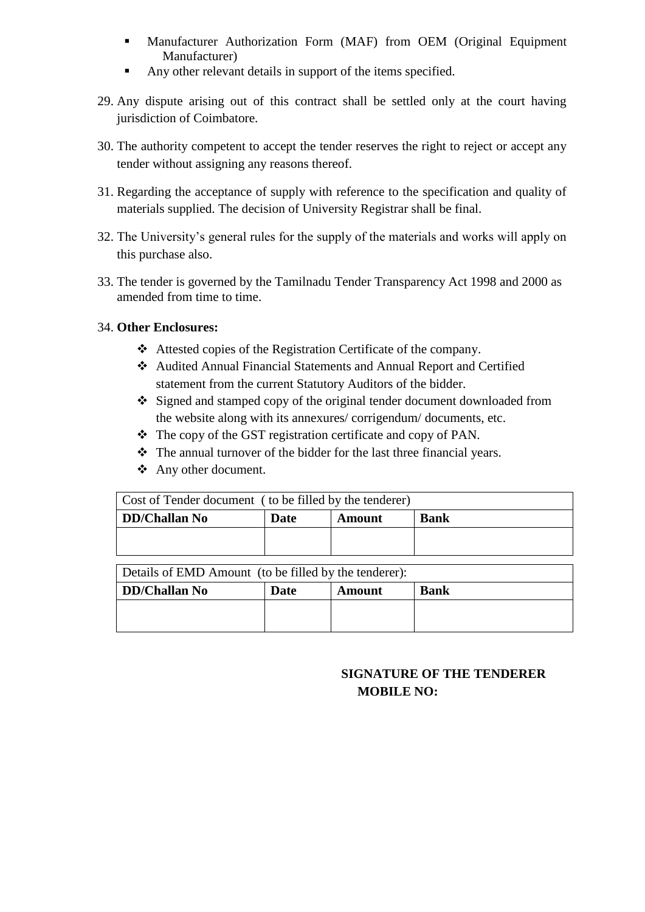- Manufacturer Authorization Form (MAF) from OEM (Original Equipment Manufacturer)
- Any other relevant details in support of the items specified.
- 29. Any dispute arising out of this contract shall be settled only at the court having jurisdiction of Coimbatore.
- 30. The authority competent to accept the tender reserves the right to reject or accept any tender without assigning any reasons thereof.
- 31. Regarding the acceptance of supply with reference to the specification and quality of materials supplied. The decision of University Registrar shall be final.
- 32. The University's general rules for the supply of the materials and works will apply on this purchase also.
- 33. The tender is governed by the Tamilnadu Tender Transparency Act 1998 and 2000 as amended from time to time.

## 34. **Other Enclosures:**

- Attested copies of the Registration Certificate of the company.
- Audited Annual Financial Statements and Annual Report and Certified statement from the current Statutory Auditors of the bidder.
- Signed and stamped copy of the original tender document downloaded from the website along with its annexures/ corrigendum/ documents, etc.
- \* The copy of the GST registration certificate and copy of PAN.
- $\triangle$  The annual turnover of the bidder for the last three financial years.
- Any other document.

| Cost of Tender document (to be filled by the tenderer) |      |        |             |  |  |  |  |
|--------------------------------------------------------|------|--------|-------------|--|--|--|--|
| DD/Challan No                                          | Date | Amount | <b>Bank</b> |  |  |  |  |
|                                                        |      |        |             |  |  |  |  |
|                                                        |      |        |             |  |  |  |  |

Details of EMD Amount (to be filled by the tenderer): **DD/Challan No Date Amount Bank**

# **SIGNATURE OF THE TENDERER MOBILE NO:**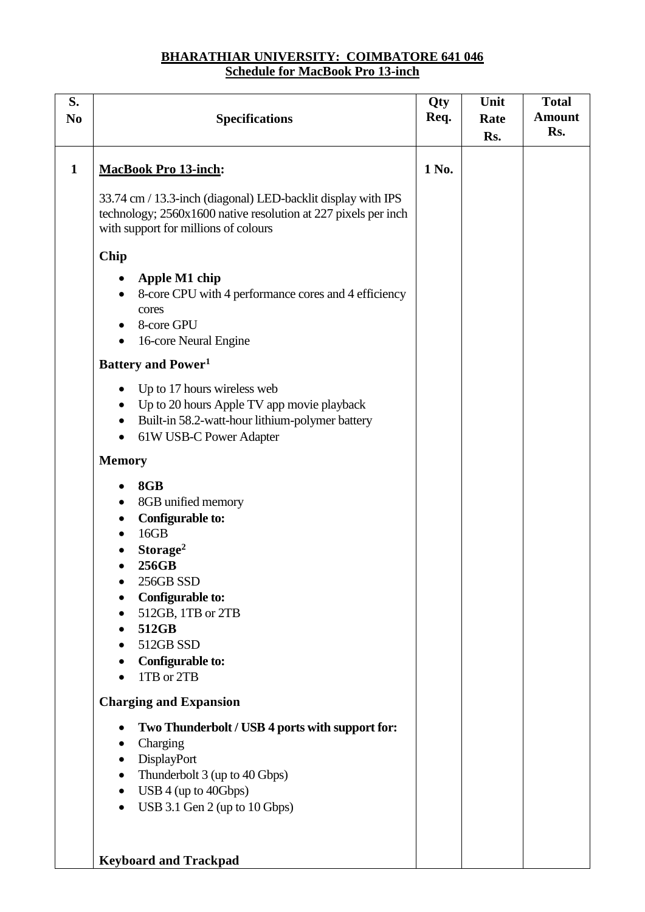# **BHARATHIAR UNIVERSITY: COIMBATORE 641 046 Schedule for MacBook Pro 13-inch**

| S.<br>N <sub>0</sub> | <b>Specifications</b>                                                                                                                                                                                                                                                                                                                                                                                                                                                                                                                                                                                                                                                                                                                                                    |       | Unit<br>Rate<br>Rs. | <b>Total</b><br><b>Amount</b><br>Rs. |
|----------------------|--------------------------------------------------------------------------------------------------------------------------------------------------------------------------------------------------------------------------------------------------------------------------------------------------------------------------------------------------------------------------------------------------------------------------------------------------------------------------------------------------------------------------------------------------------------------------------------------------------------------------------------------------------------------------------------------------------------------------------------------------------------------------|-------|---------------------|--------------------------------------|
| $\mathbf{1}$         | <b>MacBook Pro 13-inch:</b>                                                                                                                                                                                                                                                                                                                                                                                                                                                                                                                                                                                                                                                                                                                                              | 1 No. |                     |                                      |
|                      | 33.74 cm / 13.3-inch (diagonal) LED-backlit display with IPS<br>technology; 2560x1600 native resolution at 227 pixels per inch<br>with support for millions of colours                                                                                                                                                                                                                                                                                                                                                                                                                                                                                                                                                                                                   |       |                     |                                      |
|                      | Chip<br>Apple M1 chip<br>8-core CPU with 4 performance cores and 4 efficiency<br>cores<br>8-core GPU<br>16-core Neural Engine<br>٠<br><b>Battery and Power</b> <sup>1</sup><br>Up to 17 hours wireless web<br>$\bullet$<br>Up to 20 hours Apple TV app movie playback<br>$\bullet$<br>Built-in 58.2-watt-hour lithium-polymer battery<br>$\bullet$<br>61W USB-C Power Adapter<br>$\bullet$<br><b>Memory</b><br>8GB<br>8GB unified memory<br><b>Configurable to:</b><br>16GB<br>$\bullet$<br>Storage <sup>2</sup><br>256GB<br>256GB SSD<br>Configurable to:<br>512GB, 1TB or 2TB<br>512GB<br>$\bullet$<br>512GB SSD<br>Configurable to:<br>1TB or 2TB<br><b>Charging and Expansion</b><br>Two Thunderbolt / USB 4 ports with support for:<br>Charging<br>DisplayPort<br>٠ |       |                     |                                      |
|                      | Thunderbolt 3 (up to 40 Gbps)<br>٠<br>USB $4$ (up to $40Gbps$ )<br>$\bullet$<br>USB 3.1 Gen 2 (up to 10 Gbps)                                                                                                                                                                                                                                                                                                                                                                                                                                                                                                                                                                                                                                                            |       |                     |                                      |
|                      | <b>Keyboard and Trackpad</b>                                                                                                                                                                                                                                                                                                                                                                                                                                                                                                                                                                                                                                                                                                                                             |       |                     |                                      |